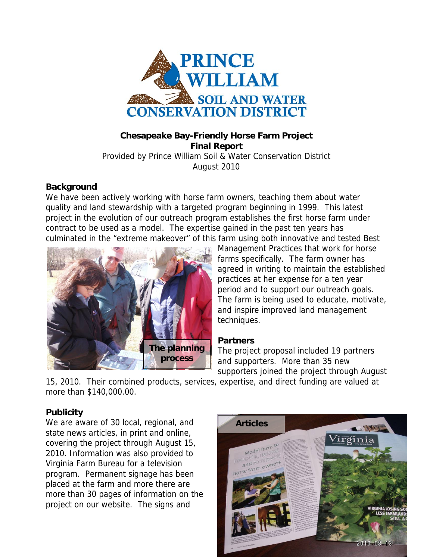

### **Chesapeake Bay-Friendly Horse Farm Project Final Report**  Provided by Prince William Soil & Water Conservation District August 2010

### **Background**

We have been actively working with horse farm owners, teaching them about water quality and land stewardship with a targeted program beginning in 1999. This latest project in the evolution of our outreach program establishes the first horse farm under contract to be used as a model. The expertise gained in the past ten years has culminated in the "extreme makeover" of this farm using both innovative and tested Best



Management Practices that work for horse farms specifically. The farm owner has agreed in writing to maintain the established practices at her expense for a ten year period and to support our outreach goals. The farm is being used to educate, motivate, and inspire improved land management techniques.

### **Partners**

The project proposal included 19 partners and supporters. More than 35 new supporters joined the project through August

15, 2010. Their combined products, services, expertise, and direct funding are valued at more than \$140,000.00.

### **Publicity**

We are aware of 30 local, regional, and **Articles** state news articles, in print and online, covering the project through August 15, 2010. Information was also provided to Virginia Farm Bureau for a television program. Permanent signage has been placed at the farm and more there are more than 30 pages of information on the project on our website. The signs and

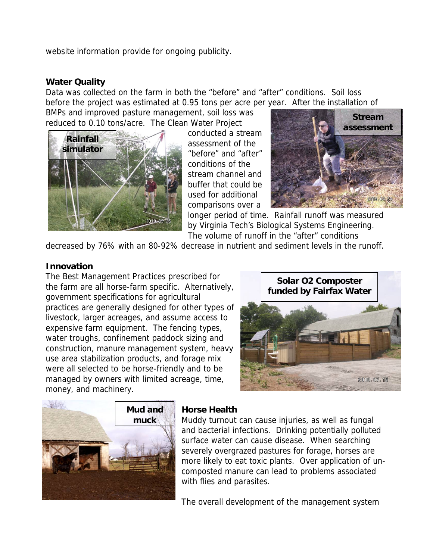website information provide for ongoing publicity.

### **Water Quality**

Data was collected on the farm in both the "before" and "after" conditions. Soil loss before the project was estimated at 0.95 tons per acre per year. After the installation of

BMPs and improved pasture management, soil loss was reduced to 0.10 tons/acre. The Clean Water Project



conducted a stream assessment of the "before" and "after" conditions of the stream channel and buffer that could be used for additional comparisons over a



longer period of time. Rainfall runoff was measured by Virginia Tech's Biological Systems Engineering. The volume of runoff in the "after" conditions

decreased by 76% with an 80-92% decrease in nutrient and sediment levels in the runoff.

### **Innovation**

The Best Management Practices prescribed for the farm are all horse-farm specific. Alternatively, government specifications for agricultural practices are generally designed for other types of livestock, larger acreages, and assume access to expensive farm equipment. The fencing types, water troughs, confinement paddock sizing and construction, manure management system, heavy use area stabilization products, and forage mix were all selected to be horse-friendly and to be managed by owners with limited acreage, time, money, and machinery.

**Solar O2 Composter funded by Fairfax Water** 





### **Horse Health**

Muddy turnout can cause injuries, as well as fungal and bacterial infections. Drinking potentially polluted surface water can cause disease. When searching severely overgrazed pastures for forage, horses are more likely to eat toxic plants. Over application of uncomposted manure can lead to problems associated with flies and parasites.

The overall development of the management system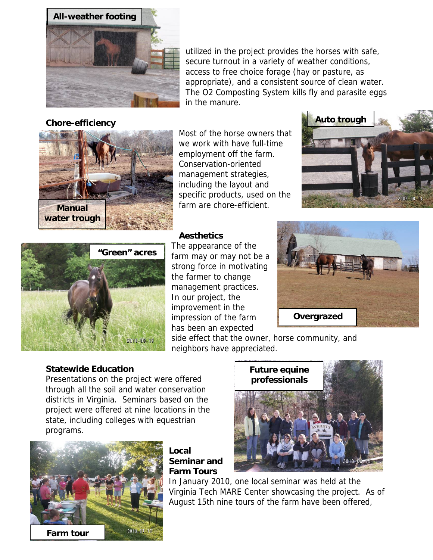

### **Chore-efficiency**

utilized in the project provides the horses with safe, secure turnout in a variety of weather conditions, access to free choice forage (hay or pasture, as appropriate), and a consistent source of clean water. The O2 Composting System kills fly and parasite eggs in the manure.



Most of the horse owners t hat we work with have full-t ime employment off the farm. Conservation-oriented management strategie s, including the layout and specific products, u sed on the farm are chore-efficient.





### **Aesthetics**

strong force in motivating the farmer to change management practices. In our project, the improvement in the impression of the farm has been an expected The appearance of the farm may or may not be a



side effect that the owner, hors e community, and neighbors have appreciated.

### **Statewide Education**

Presentations on the project were offered through all the soil and water conservation districts in Virginia. Seminars based on the project were offered at nine locations in the state, including colleges with equestrian programs.



**s Farm Tour Local Seminar and** 



In January 2010, one local seminar was held at the Virginia Tech MARE Center showcasing the project. As of August 15th nine tours of the farm have been offered,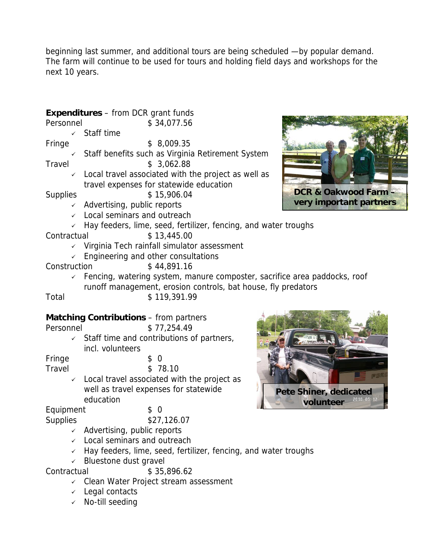beginning last summer, and additional tours are being scheduled —by popular dema nd. The farm will continue to be used for tours and holding field days and workshops for the next 10 years.

## **Expenditures** – from DCR grant funds

Personnel \$ 34,077.56

 $\checkmark$  Staff time

Fringe \$ 8,009.35

- $\checkmark$  Staff benefits such as Virginia Retirement System Travel \$ 3,062.88
	- $\angle$  Local travel associated with the project as well as travel expenses for statewide education

Supplies \$ 15,906.04

- $\checkmark$  Advertising, public reports
- $\checkmark$  Local seminars and outreach
- $\sqrt{ }$  Hay feeders, lime, seed, fertilizer, fencing, and water troughs

Contractual \$ 13,445.00

- $\checkmark$  Virginia Tech rainfall simulator assessment
- $\angle$  Engineering and other consultations
- Construction \$ 44,891.16
	- $\epsilon$  Fencing, watering system, manure composter, sacrifice area paddocks, roof runoff management, erosion controls, bat house, fly predators

Total \$119,391.99

### **Matching Contributions** – from partners

Personnel \$ 77,254.49

 $\checkmark$  Staff time and contributions of partners, incl. volunteers

Fringe \$ 0

Travel \$ 78.10

 $\checkmark$  Local travel associated with the project as well as travel expenses for statewide education

Equipment \$ 0

Supplies \$27,126.07

- $\checkmark$  Advertising, public reports
- $\checkmark$  Local seminars and outreach
- $\sqrt{ }$  Hay feeders, lime, seed, fertilizer, fencing, and water troughs
- $\checkmark$  Bluestone dust gravel

Contractual \$ 35,896.62

- $\checkmark$  Clean Water Project stream assessment
- $\checkmark$  Legal contacts
- $\checkmark$  No-till seeding



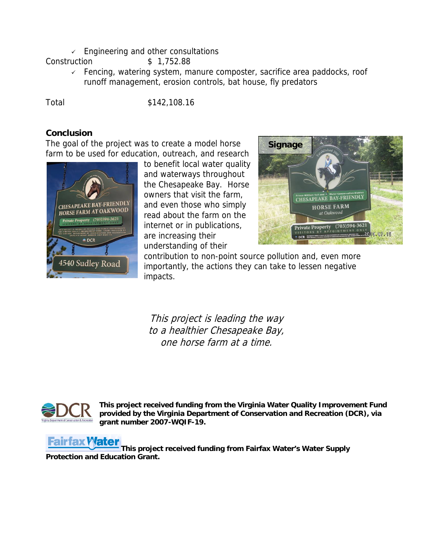$\sqrt{ }$  Engineering and other consultations

Construction \$ 1,752.88

 $\sqrt{ }$  Fencing, watering system, manure composter, sacrifice area paddocks, roof runoff management, erosion controls, bat house, fly predators

Total \$142,108.16

### **Conclusion**

The goal of the project was to create a model horse farm to be used for education, outreach, and research



to benefit local water quality and waterways throughout the Chesapeake Bay. Horse owners that visit the farm, and even those who simply read about the farm on the internet or in publications, are increasing their understanding of their



contribution to non-point source pollution and, even more importantly, the actions they can take to lessen negative impacts.

This project is leading the way to a healthier Chesapeake Bay, one horse farm at a time.



**This project received funding from the Virginia Water Quality Improvement Fund provided by the Virginia Department of Conservation and Recreation (DCR), via grant number 2007-WQIF-19.**

# **Fairfax Water**

**This project received funding from Fairfax Water's Water Supply [Protection and Educat](http://www.fcwa.org/index.htm)ion Grant.**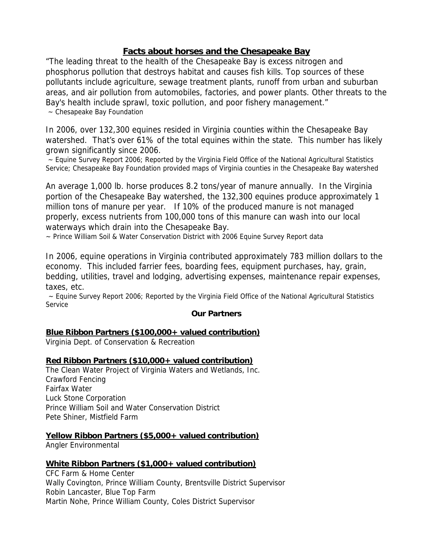### **Facts about horses and the Chesapeake Bay**

"The leading threat to the health of the Chesapeake Bay is excess nitrogen and phosphorus pollution that destroys habitat and causes fish kills. Top sources of these pollutants include agriculture, sewage treatment plants, runoff from urban and suburban areas, and air pollution from automobiles, factories, and power plants. Other threats to the Bay's health include sprawl, toxic pollution, and poor fishery management." ~ Chesapeake Bay Foundation

In 2006, over 132,300 equines resided in Virginia counties within the Chesapeake Bay watershed. That's over 61% of the total equines within the state. This number has likely grown significantly since 2006.

~ Equine Survey Report 2006; Reported by the Virginia Field Office of the National Agricultural Statistics Service; Chesapeake Bay Foundation provided maps of Virginia counties in the Chesapeake Bay watershed

An average 1,000 lb. horse produces 8.2 tons/year of manure annually. In the Virginia portion of the Chesapeake Bay watershed, the 132,300 equines produce approximately 1 million tons of manure per year. If 10% of the produced manure is not managed properly, excess nutrients from 100,000 tons of this manure can wash into our local waterways which drain into the Chesapeake Bay.

~ Prince William Soil & Water Conservation District with 2006 Equine Survey Report data

In 2006, equine operations in Virginia contributed approximately 783 million dollars to the economy. This included farrier fees, boarding fees, equipment purchases, hay, grain, bedding, utilities, travel and lodging, advertising expenses, maintenance repair expenses, taxes, etc.

~ Equine Survey Report 2006; Reported by the Virginia Field Office of the National Agricultural Statistics Service

### **Our Partners**

### **Blue Ribbon Partners (\$100,000+ valued contribution)**

Virginia Dept. of Conservation & Recreation

### **Red Ribbon Partners (\$10,000+ valued contribution)**

The Clean Water Project of Virginia Waters and Wetlands, Inc. Crawford Fencing Fairfax Water Luck Stone Corporation Prince William Soil and Water Conservation District Pete Shiner, Mistfield Farm

### **Yellow Ribbon Partners (\$5,000+ valued contribution)**

Angler Environmental

### **White Ribbon Partners (\$1,000+ valued contribution)**

CFC Farm & Home Center Wally Covington, Prince William County, Brentsville District Supervisor Robin Lancaster, Blue Top Farm Martin Nohe, Prince William County, Coles District Supervisor